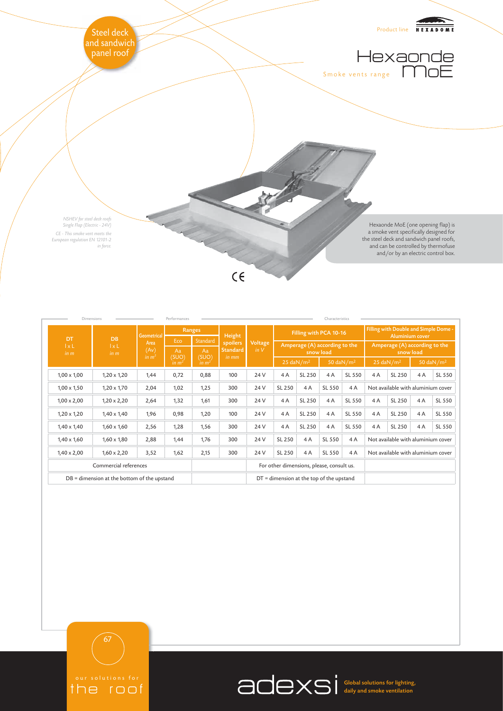

| Dimensions                                    |                                   | Performances                                            |                        |                                  |                                           |                                            |                                                  |        | Characteristics |                               |                                                                 |                       |    |        |
|-----------------------------------------------|-----------------------------------|---------------------------------------------------------|------------------------|----------------------------------|-------------------------------------------|--------------------------------------------|--------------------------------------------------|--------|-----------------|-------------------------------|-----------------------------------------------------------------|-----------------------|----|--------|
| DT<br>$1 \times L$<br>in m                    | <b>DB</b><br>$l \times L$<br>in m | <b>Geometrical</b><br>Area<br>(Av)<br>in m <sup>2</sup> | Ranges                 |                                  | Height                                    |                                            | Filling with PCA 10-16                           |        |                 |                               | Filling with Double and Simple Dome -<br><b>Aluminium cover</b> |                       |    |        |
|                                               |                                   |                                                         | Eco                    | Standard                         | spoilers<br><b>Standard</b><br>in mm      | <b>Voltage</b><br>in V                     | Amperage (A) according to the<br>snow load       |        |                 |                               | Amperage (A) according to the<br>snow load                      |                       |    |        |
|                                               |                                   |                                                         | Aa<br>(SUO)<br>in $m2$ | Aa<br>(SUO)<br>in m <sup>2</sup> |                                           |                                            |                                                  |        |                 |                               |                                                                 |                       |    |        |
|                                               |                                   |                                                         |                        |                                  |                                           |                                            | 50 daN/m <sup>2</sup><br>$25$ daN/m <sup>2</sup> |        |                 | $25 \text{ daN} / \text{m}^2$ |                                                                 | 50 daN/m <sup>2</sup> |    |        |
| $1,00 \times 1,00$                            | $1,20 \times 1,20$                | 1,44                                                    | 0,72                   | 0,88                             | 100                                       | 24 V                                       | 4A                                               | SL 250 | 4A              | SL 550                        | 4A                                                              | SL 250                | 4A | SL 550 |
| $1,00 \times 1,50$                            | $1,20 \times 1,70$                | 2,04                                                    | 1,02                   | 1,25                             | 300                                       | 24 V                                       | SL 250                                           | 4A     | SL 550          | 4A                            | Not available with aluminium cover                              |                       |    |        |
| $1,00 \times 2,00$                            | $1,20 \times 2,20$                | 2,64                                                    | 1,32                   | 1,61                             | 300                                       | 24 V                                       | 4A                                               | SL 250 | 4A              | SL 550                        | 4A                                                              | SL 250                | 4A | SL 550 |
| $1,20 \times 1,20$                            | $1,40 \times 1,40$                | 1,96                                                    | 0,98                   | 1,20                             | 100                                       | 24 V                                       | 4A                                               | SL 250 | 4A              | SL 550                        | 4A                                                              | SL 250                | 4A | SL 550 |
| $1,40 \times 1,40$                            | $1,60 \times 1,60$                | 2,56                                                    | 1,28                   | 1,56                             | 300                                       | 24 V                                       | 4A                                               | SL 250 | 4A              | SL 550                        | 4A                                                              | SL 250                | 4A | SL 550 |
| $1,40 \times 1,60$                            | $1,60 \times 1,80$                | 2,88                                                    | 1,44                   | 1,76                             | 300                                       | 24 V                                       | SL 250                                           | 4A     | SL 550          | 4A                            | Not available with aluminium cover                              |                       |    |        |
| $1,40 \times 2,00$                            | $1,60 \times 2,20$                | 3,52                                                    | 1,62                   | 2,15                             | 300                                       | 24 V                                       | SL 250                                           | 4A     | SL 550          | 4A                            | Not available with aluminium cover                              |                       |    |        |
| Commercial references                         |                                   |                                                         |                        |                                  | For other dimensions, please, consult us. |                                            |                                                  |        |                 |                               |                                                                 |                       |    |        |
| $DB =$ dimension at the bottom of the upstand |                                   |                                                         |                        |                                  |                                           | $DT =$ dimension at the top of the upstand |                                                  |        |                 |                               |                                                                 |                       |    |        |



Global solutions for lighting, daily and smoke ventilation